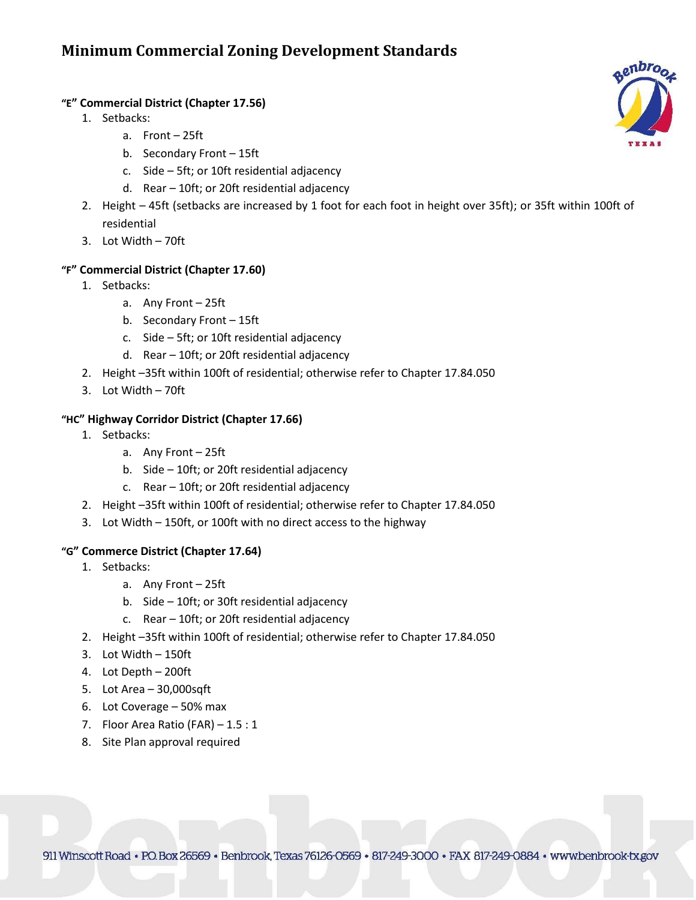# **Minimum Commercial Zoning Development Standards**

#### **"E" Commercial District (Chapter 17.56)**

- 1. Setbacks:
	- a. Front 25ft
	- b. Secondary Front 15ft
	- c. Side 5ft; or 10ft residential adjacency
	- d. Rear 10ft; or 20ft residential adjacency
- 2. Height 45ft (setbacks are increased by 1 foot for each foot in height over 35ft); or 35ft within 100ft of residential
- 3. Lot Width 70ft

### **"F" Commercial District (Chapter 17.60)**

- 1. Setbacks:
	- a. Any Front 25ft
	- b. Secondary Front 15ft
	- c. Side 5ft; or 10ft residential adjacency
	- d. Rear 10ft; or 20ft residential adjacency
- 2. Height –35ft within 100ft of residential; otherwise refer to Chapter 17.84.050
- 3. Lot Width 70ft

### **"HC" Highway Corridor District (Chapter 17.66)**

- 1. Setbacks:
	- a. Any Front 25ft
	- b. Side 10ft; or 20ft residential adjacency
	- c. Rear 10ft; or 20ft residential adjacency
- 2. Height –35ft within 100ft of residential; otherwise refer to Chapter 17.84.050
- 3. Lot Width 150ft, or 100ft with no direct access to the highway

#### **"G" Commerce District (Chapter 17.64)**

- 1. Setbacks:
	- a. Any Front 25ft
	- b. Side 10ft; or 30ft residential adjacency
	- c. Rear 10ft; or 20ft residential adjacency
- 2. Height –35ft within 100ft of residential; otherwise refer to Chapter 17.84.050
- 3. Lot Width 150ft
- 4. Lot Depth 200ft
- 5. Lot Area 30,000sqft
- 6. Lot Coverage 50% max
- 7. Floor Area Ratio (FAR) 1.5 : 1
- 8. Site Plan approval required